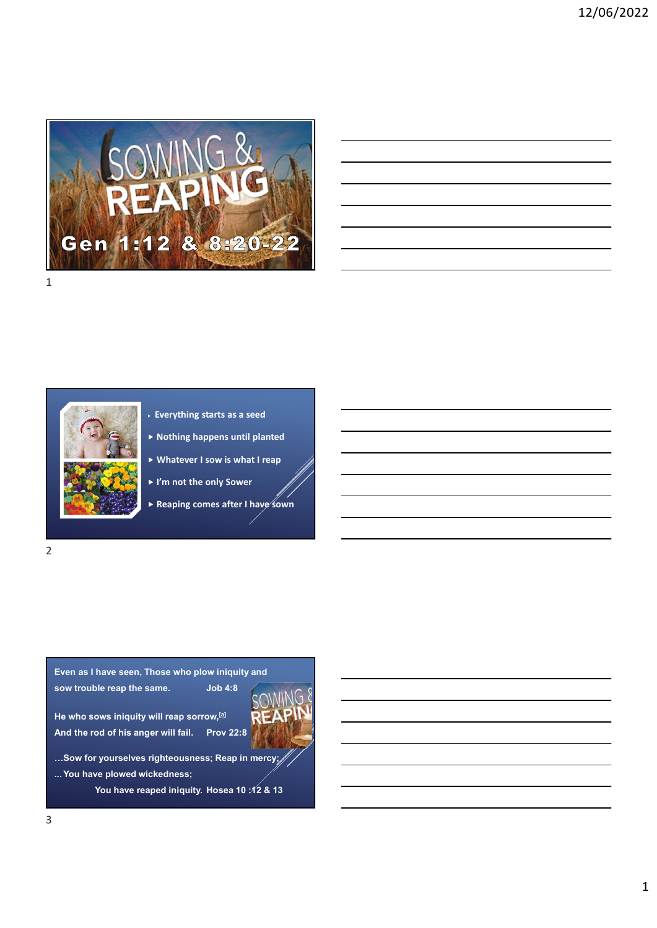





- Everything starts as a seed
- $\blacktriangleright$  Nothing happens until planted
- 
- I'm not the only Sower
- Reaping comes after I have sown

2

Even as I have seen, Those who plow iniquity and sow trouble reap the same. Job 4:8 Even as I have seen, Those who plow iniquity and<br>
Sow trouble reap the same. Job 4:8<br>
He who sows iniquity will reap sorrow.<sup>[3]</sup><br>
And the rod of his anger will fall. Prov 22:8<br>
...Sow for yourselves righteousness; Reap in

And the rod of his anger will fail. Prov 22:8



…Sow for yourselves righteousness; Reap in mercy;

You have reaped iniquity. Hosea 10 :12 & 13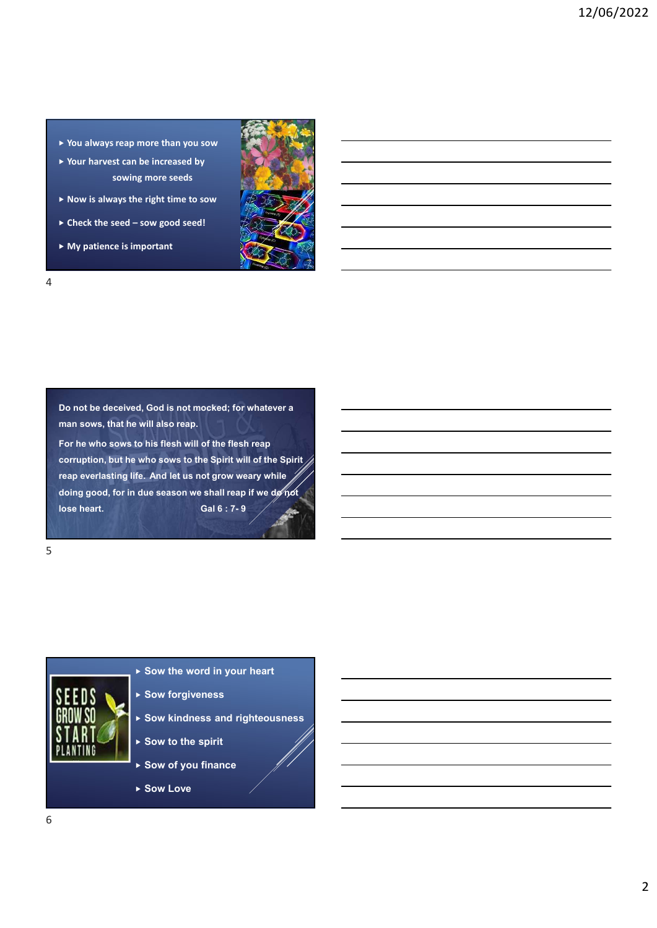- You always reap more than you sow
- ▶ Your harvest can be increased by sowing more seeds
- $\blacktriangleright$  Now is always the right time to sow
- 
- My patience is important



4

man sows, that he will also reap.

For he who sows to his flesh will of the flesh reap corruption, but he who sows to the Spirit will of the Spirit Now is always the right time to sow<br>  $\blacktriangleright$  Check the seed – sow good seed!<br>  $\blacktriangleright$  My patience is important<br>
Do not be deceived, God is not mocked; for whatever a<br>
man sows, that he will also reap.<br>
For he who sows to Check the seed – sow good seed!<br>
My patience is important<br>
Do not be deceived, God is not mocked; for whatever a<br>
man sows, that he will also reap.<br>
Tor he who save to the fiesh reap<br>
corruption, but he who sows to the Sp Check the seed - sow good seed!<br>
A My patience is important<br>
Do not be deceived, God is not mocked; for whatever a<br>
man sows, that he will also reap.<br>
For he who sows to his fissh will of the flest reap<br>
cornption, but th

 $5<sub>2</sub>$ 



- $\triangleright$  Sow the word in your heart
- ▶ Sow forgiveness
- ▶ Sow kindness and righteousness
- $\triangleright$  Sow to the spirit
- ▶ Sow of you finance
- ▶ Sow Love